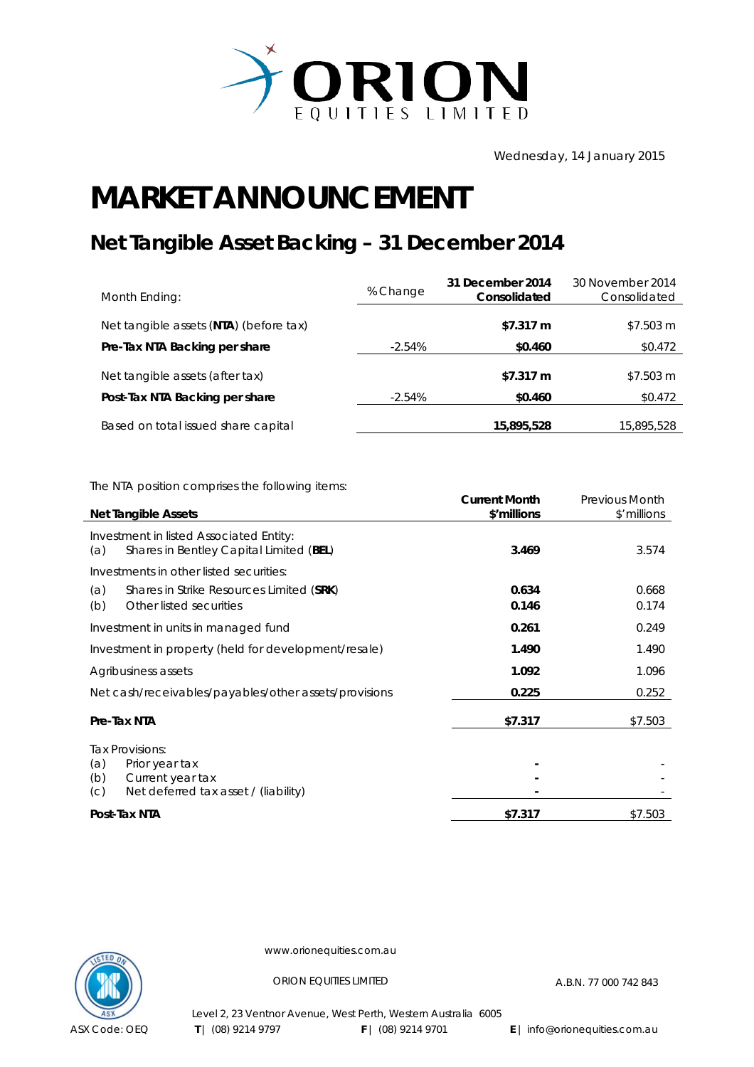

Wednesday, 14 January 2015

## **MARKET ANNOUNCEMENT**

## **Net Tangible Asset Backing – 31 December 2014**

| Month Ending:                          | % Change  | 31 December 2014<br>Consolidated | 30 November 2014<br>Consolidated |
|----------------------------------------|-----------|----------------------------------|----------------------------------|
| Net tangible assets (NTA) (before tax) |           | \$7.317 m                        | \$7.503 m                        |
| Pre-Tax NTA Backing per share          | $-2.54\%$ | \$0.460                          | \$0.472                          |
| Net tangible assets (after tax)        |           | \$7.317 m                        | \$7.503 m                        |
| Post-Tax NTA Backing per share         | $-2.54\%$ | \$0.460                          | \$0.472                          |
| Based on total issued share capital    |           | 15,895,528                       | 15,895,528                       |

The NTA position comprises the following items:

| <b>Net Tangible Assets</b>                                                                                         | <b>Current Month</b><br>\$'millions | <b>Previous Month</b><br>\$'millions |
|--------------------------------------------------------------------------------------------------------------------|-------------------------------------|--------------------------------------|
| Investment in listed Associated Entity:<br>Shares in Bentley Capital Limited (BEL)<br>(a)                          | 3.469                               | 3.574                                |
| Investments in other listed securities:<br>(a)<br>Shares in Strike Resources Limited (SRK)                         | 0.634                               | 0.668                                |
| Other listed securities<br>(b)                                                                                     | 0.146                               | 0.174                                |
| Investment in units in managed fund                                                                                | 0.261                               | 0.249                                |
| Investment in property (held for development/resale)                                                               | 1.490                               | 1.490                                |
| Agribusiness assets                                                                                                | 1.092                               | 1.096                                |
| Net cash/receivables/payables/other assets/provisions                                                              | 0.225                               | 0.252                                |
| Pre-Tax NTA                                                                                                        | \$7.317                             | \$7.503                              |
| Tax Provisions:<br>(a)<br>Prior year tax<br>(b)<br>Current year tax<br>Net deferred tax asset / (liability)<br>(C) |                                     |                                      |
| Post-Tax NTA                                                                                                       | \$7.317                             | \$7.503                              |



www.orionequities.com.au

ORION EQUITIES LIMITED A.B.N. 77 000 742 843

Level 2, 23 Ventnor Avenue, West Perth, Western Australia 6005  **T** | (08) 9214 9797 **F** | (08) 9214 9701 **E** | info@orionequities.com.au